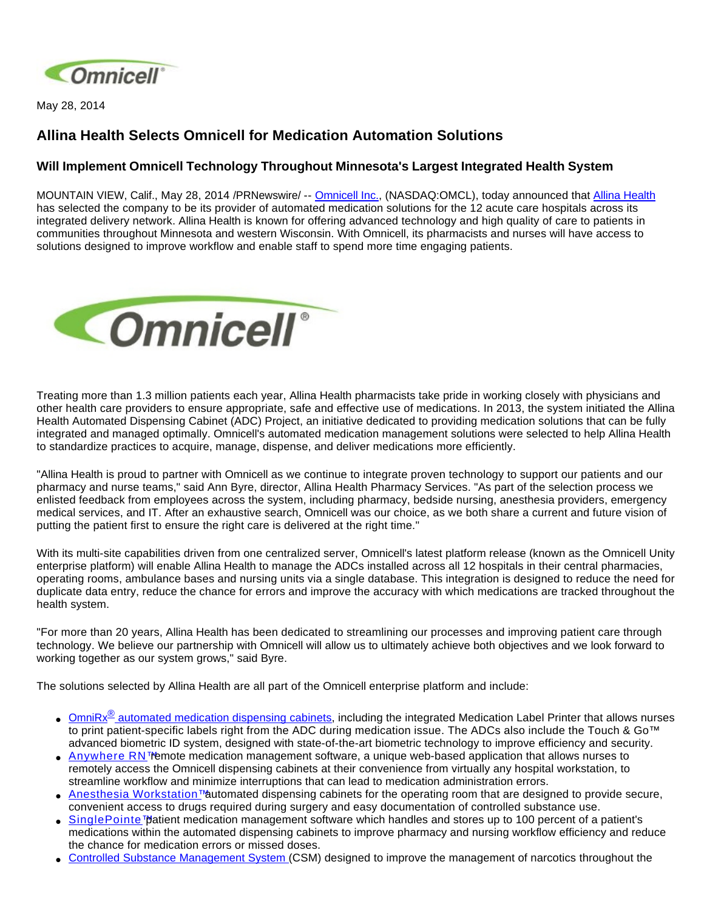

May 28, 2014

## **Allina Health Selects Omnicell for Medication Automation Solutions**

## **Will Implement Omnicell Technology Throughout Minnesota's Largest Integrated Health System**

MOUNTAIN VIEW, Calif., May 28, 2014 /PRNewswire/ -- [Omnicell Inc.,](http://www.omnicell.com/) (NASDAQ:OMCL), today announced that [Allina Health](http://www.allinahealth.org/) has selected the company to be its provider of automated medication solutions for the 12 acute care hospitals across its integrated delivery network. Allina Health is known for offering advanced technology and high quality of care to patients in communities throughout Minnesota and western Wisconsin. With Omnicell, its pharmacists and nurses will have access to solutions designed to improve workflow and enable staff to spend more time engaging patients.



Treating more than 1.3 million patients each year, Allina Health pharmacists take pride in working closely with physicians and other health care providers to ensure appropriate, safe and effective use of medications. In 2013, the system initiated the Allina Health Automated Dispensing Cabinet (ADC) Project, an initiative dedicated to providing medication solutions that can be fully integrated and managed optimally. Omnicell's automated medication management solutions were selected to help Allina Health to standardize practices to acquire, manage, dispense, and deliver medications more efficiently.

"Allina Health is proud to partner with Omnicell as we continue to integrate proven technology to support our patients and our pharmacy and nurse teams," said Ann Byre, director, Allina Health Pharmacy Services. "As part of the selection process we enlisted feedback from employees across the system, including pharmacy, bedside nursing, anesthesia providers, emergency medical services, and IT. After an exhaustive search, Omnicell was our choice, as we both share a current and future vision of putting the patient first to ensure the right care is delivered at the right time."

With its multi-site capabilities driven from one centralized server, Omnicell's latest platform release (known as the Omnicell Unity enterprise platform) will enable Allina Health to manage the ADCs installed across all 12 hospitals in their central pharmacies, operating rooms, ambulance bases and nursing units via a single database. This integration is designed to reduce the need for duplicate data entry, reduce the chance for errors and improve the accuracy with which medications are tracked throughout the health system.

"For more than 20 years, Allina Health has been dedicated to streamlining our processes and improving patient care through technology. We believe our partnership with Omnicell will allow us to ultimately achieve both objectives and we look forward to working together as our system grows," said Byre.

The solutions selected by Allina Health are all part of the Omnicell enterprise platform and include:

- OmniRx<sup>®</sup> [automated medication dispensing cabinets,](http://www.omnicell.com/Products/Medication_Dispensing/Automated_Medication_Dispensing_Cabinets.aspx) including the integrated Medication Label Printer that allows nurses to print patient-specific labels right from the ADC during medication issue. The ADCs also include the Touch & Go™ advanced biometric ID system, designed with state-of-the-art biometric technology to improve efficiency and security.
- [Anywhere RN™](http://www.omnicell.com/Products/Medication_Dispensing/Anywhere_RN_Remote_Medication_Management.aspx) emote medication management software, a unique web-based application that allows nurses to remotely access the Omnicell dispensing cabinets at their convenience from virtually any hospital workstation, to streamline workflow and minimize interruptions that can lead to medication administration errors.
- [Anesthesia Workstation™](http://www.omnicell.com/Products/Medication_Dispensing/Anesthesia_Workstation_G4.aspx) automated dispensing cabinets for the operating room that are designed to provide secure, convenient access to drugs required during surgery and easy documentation of controlled substance use.
- [SinglePointe™](http://www.omnicell.com/Products/Medication_Dispensing/SinglePointe_Patient_Medication_Management.aspx) patient medication management software which handles and stores up to 100 percent of a patient's medications within the automated dispensing cabinets to improve pharmacy and nursing workflow efficiency and reduce the chance for medication errors or missed doses.
- [Controlled Substance Management System](http://www.omnicell.com/Products/Central_Pharmacy_Automation/Controlled_Substance_Management_System.aspx) (CSM) designed to improve the management of narcotics throughout the